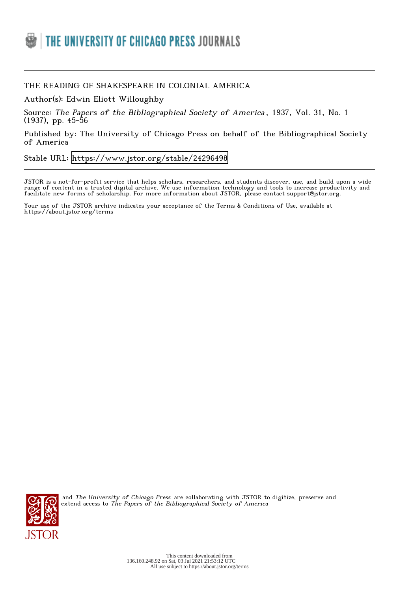

## THE READING OF SHAKESPEARE IN COLONIAL AMERICA

Author(s): Edwin Eliott Willoughby

Source: The Papers of the Bibliographical Society of America , 1937, Vol. 31, No. 1 (1937), pp. 45-56

Published by: The University of Chicago Press on behalf of the Bibliographical Society of America

Stable URL:<https://www.jstor.org/stable/24296498>

JSTOR is a not-for-profit service that helps scholars, researchers, and students discover, use, and build upon a wide range of content in a trusted digital archive. We use information technology and tools to increase productivity and facilitate new forms of scholarship. For more information about JSTOR, please contact support@jstor.org.

Your use of the JSTOR archive indicates your acceptance of the Terms & Conditions of Use, available at https://about.jstor.org/terms



and The University of Chicago Press are collaborating with JSTOR to digitize, preserve and extend access to The Papers of the Bibliographical Society of America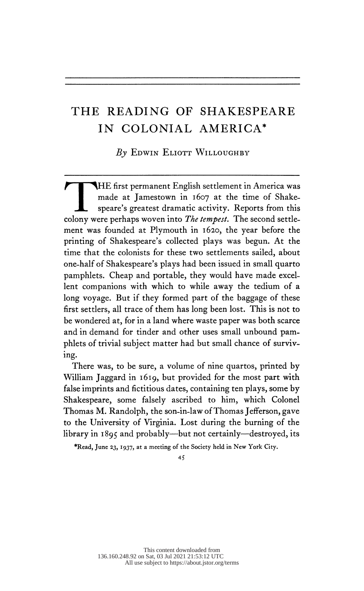## THE READING OF SHAKESPEARE IN COLONIAL AMERICA\*

 $By$  Edwin Eliott Willoughby

HE first permanent English settlement in America was made at Jamestown in 1607 at the time of Shake-<br>speare's greatest dramatic activity. Reports from this colony were perhaps woven into *The tempest*. The second settle ment was founded at Plymouth in 1620, the year before the printing of Shakespeare's collected plays was begun. At the time that the colonists for these two settlements sailed, about one-half of Shakespeare's plays had been issued in small quarto pamphlets. Cheap and portable, they would have made excel lent companions with which to while away the tedium of a long voyage. But if they formed part of the baggage of these first settlers, all trace of them has long been lost. This is not to be wondered at, for in a land where waste paper was both scarce and in demand for tinder and other uses small unbound pam phlets of trivial subject matter had but small chance of surviv ing.

 There was, to be sure, a volume of nine quartos, printed by William Jaggard in 1619, but provided for the most part with false imprints and fictitious dates, containing ten plays, some by Shakespeare, some falsely ascribed to him, which Colonel Thomas M. Randolph, the son-in-law of Thomas Jefferson, gave to the University of Virginia. Lost during the burning of the library in 1895 and probably—but not certainly—destroyed, its

\*Read, June 23, 1937, at a meeting of the Society held in New York City.

45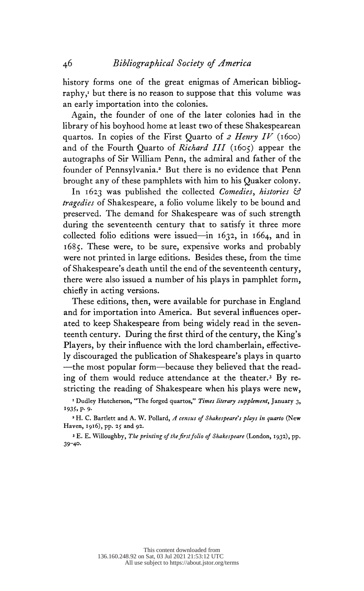history forms one of the great enigmas of American bibliog raphy,<sup>1</sup> but there is no reason to suppose that this volume was an early importation into the colonies.

 Again, the founder of one of the later colonies had in the library of his boyhood home at least two of these Shakespearean quartos. In copies of the First Quarto of 2 Henry IV (1600) and of the Fourth Quarto of *Richard III* (1605) appear the autographs of Sir William Penn, the admiral and father of the founder of Pennsylvania.<sup>2</sup> But there is no evidence that Penn brought any of these pamphlets with him to his Quaker colony.

In 1623 was published the collected Comedies, histories & tragedies of Shakespeare, a folio volume likely to be bound and preserved. The demand for Shakespeare was of such strength during the seventeenth century that to satisfy it three more collected folio editions were issued—in 1632, in 1664, and in 1685. These were, to be sure, expensive works and probably were not printed in large editions. Besides these, from the time of Shakespeare's death until the end of the seventeenth century, there were also issued a number of his plays in pamphlet form, chiefly in acting versions.

 These editions, then, were available for purchase in England and for importation into America. But several influences oper ated to keep Shakespeare from being widely read in the seven teenth century. During the first third of the century, the King's Players, by their influence with the lord chamberlain, effective ly discouraged the publication of Shakespeare's plays in quarto -—the most popular form—because they believed that the read ing of them would reduce attendance at the theater.<sup>3</sup> By restricting the reading of Shakespeare when his plays were new,

<sup>1</sup> Dudley Hutcherson, "The forged quartos," *Times literary supplement*, January 3, 1935, p. 9.

<sup>2</sup> H. C. Bartlett and A. W. Pollard, A census of Shakespeare's plays in quarto (New Haven, 1916), pp. 25 and 92.

 3 E. E. Willoughby, The printing of the first folio of Shakespeare (London, 1932), pp. 39-4°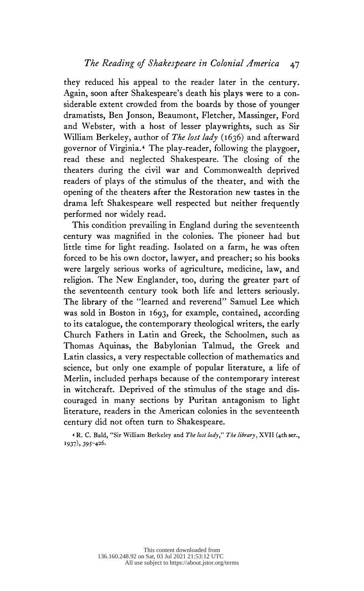they reduced his appeal to the reader later in the century. Again, soon after Shakespeare's death his plays were to a con siderable extent crowded from the boards by those of younger dramatists, Ben Jonson, Beaumont, Fletcher, Massinger, Ford and Webster, with a host of lesser playwrights, such as Sir William Berkeley, author of The lost lady (1636) and afterward governor of Virginia.4 The play-reader, following the playgoer, read these and neglected Shakespeare. The closing of the theaters during the civil war and Commonwealth deprived readers of plays of the stimulus of the theater, and with the opening of the theaters after the Restoration new tastes in the drama left Shakespeare well respected but neither frequently performed nor widely read.

 This condition prevailing in England during the seventeenth century was magnified in the colonies. The pioneer had but little time for light reading. Isolated on a farm, he was often forced to be his own doctor, lawyer, and preacher; so his books were largely serious works of agriculture, medicine, law, and religion. The New Englander, too, during the greater part of the seventeenth century took both life and letters seriously. The library of the "learned and reverend" Samuel Lee which was sold in Boston in 1693, for example, contained, according to its catalogue, the contemporary theological writers, the early Church Fathers in Latin and Greek, the Schoolmen, such as Thomas Aquinas, the Babylonian Talmud, the Greek and Latin classics, a very respectable collection of mathematics and science, but only one example of popular literature, a life of Merlin, included perhaps because of the contemporary interest in witchcraft. Deprived of the stimulus of the stage and dis couraged in many sections by Puritan antagonism to light literature, readers in the American colonies in the seventeenth century did not often turn to Shakespeare.

4 R. C. Bald, "Sir William Berkeley and The lost lady," The library, XVII (4th ser., 1937), 395-426.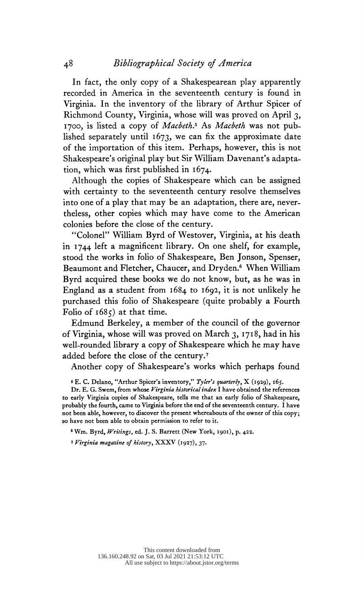In fact, the only copy of a Shakespearean play apparently recorded in America in the seventeenth century is found in Virginia. In the inventory of the library of Arthur Spicer of Richmond County, Virginia, whose will was proved on April 3, 1700, is listed a copy of Macbeth.<sup>5</sup> As Macbeth was not published separately until  $1673$ , we can fix the approximate date of the importation of this item. Perhaps, however, this is not Shakespeare's original play but Sir William Davenant's adapta tion, which was first published in 1674.

 Although the copies of Shakespeare which can be assigned with certainty to the seventeenth century resolve themselves into one of a play that may be an adaptation, there are, never theless, other copies which may have come to the American colonies before the close of the century.

 "Colonel" William Byrd of Westover, Virginia, at his death in 1744 left a magnificent library. On one shelf, for example, stood the works in folio of Shakespeare, Ben Jonson, Spenser, Beaumont and Fletcher, Chaucer, and Dryden.<sup>6</sup> When William Byrd acquired these books we do not know, but, as he was in England as a student from 1684 to 1692, it is not unlikely he purchased this folio of Shakespeare (quite probably a Fourth Folio of  $1685$ ) at that time.

 Edmund Berkeley, a member of the council of the governor of Virginia, whose will was proved on March 3, 1718, had in his well-rounded library a copy of Shakespeare which he may have added before the close of the century.7

Another copy of Shakespeare's works which perhaps found

<sup>5</sup> E. C. Delano, "Arthur Spicer's inventory," Tyler's quarterly, X (1929), 165.

Dr. E. G. Swem, from whose Virginia historical index I have obtained the references to early Virginia copies of Shakespeare, tells me that an early folio of Shakespeare, probably the fourth, came to Virginia before the end of the seventeenth century. I have not been able, however, to discover the present whereabouts of the owner of this copy; so have not been able to obtain permission to refer to it.

<sup>6</sup> Wm. Byrd, Writings, ed. J. S. Barrett (New York, 1901), p. 422.

1 Virginia magazine of history, XXXV (1927), 37.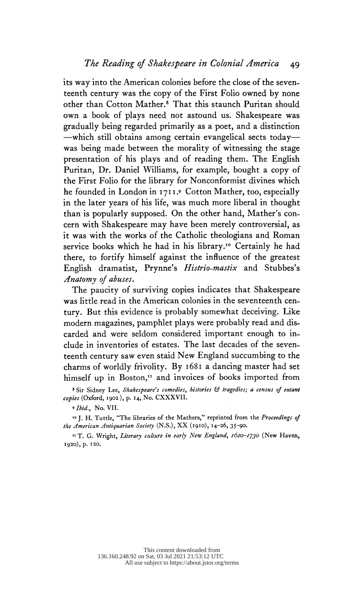its way into the American colonies before the close of the seven teenth century was the copy of the First Folio owned by none other than Cotton Mather.<sup>8</sup> That this staunch Puritan should own a book of plays need not astound us. Shakespeare was gradually being regarded primarily as a poet, and a distinction —which still obtains among certain evangelical sects today was being made between the morality of witnessing the stage presentation of his plays and of reading them. The English Puritan, Dr. Daniel Williams, for example, bought a copy of the First Folio for the library for Nonconformist divines which he founded in London in 1711.» Cotton Mather, too, especially in the later years of his life, was much more liberal in thought than is popularly supposed. On the other hand, Mather's con cern with Shakespeare may have been merely controversial, as it was with the works of the Catholic theologians and Roman service books which he had in his library.<sup>10</sup> Certainly he had there, to fortify himself against the influence of the greatest English dramatist, Prynne's Histrio-mastix and Stubbes's Anatomy of abuses.

 The paucity of surviving copies indicates that Shakespeare was little read in the American colonies in the seventeenth cen tury. But this evidence is probably somewhat deceiving. Like modern magazines, pamphlet plays were probably read and dis carded and were seldom considered important enough to in clude in inventories of estates. The last decades of the seven teenth century saw even staid New England succumbing to the charms of worldly frivolity. By 1681 a dancing master had set himself up in Boston," and invoices of books imported from

8 Sir Sidney Lee, Shakespeare's comedies, histories & tragedies; a census of extant copies (Oxford, 1902), p. 14, No. CXXXVII.

»Ibid., No. VII.

<sup>10</sup> J. H. Tuttle, "The libraries of the Mathers," reprinted from the Proceedings of the American Antiquarian Society (N.S.), XX (1910), 14-26, 35-90.

<sup>11</sup> T. G. Wright, Literary culture in early New England, 1620-1730 (New Haven, 1920), p. 120.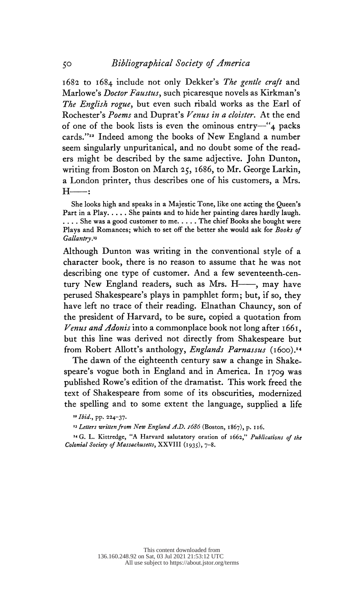1682 to 1684 include not only Dekker's The gentle craft and Marlowe's *Doctor Faustus*, such picaresque novels as Kirkman's The English rogue, but even such ribald works as the Earl of Rochester's Poems and Duprat's Venus in a cloister. At the end of one of the book lists is even the ominous entry—"4 packs cards."12 Indeed among the books of New England a number seem singularly unpuritanical, and no doubt some of the read ers might be described by the same adjective. John Dunton, writing from Boston on March 25, 1686, to Mr. George Larkin, a London printer, thus describes one of his customers, a Mrs.  $H$   $\longrightarrow$ :

 She looks high and speaks in a Majestic Tone, like one acting the Queen's Part in a Play.  $\dots$ . She paints and to hide her painting dares hardly laugh. .... She was a good customer to me..... The chief Books she bought were Plays and Romances; which to set off the better she would ask for Books of Gallantry

 Although Dunton was writing in the conventional style of a character book, there is no reason to assume that he was not describing one type of customer. And a few seventeenth-cen tury New England readers, such as Mrs.  $H$ —, may have perused Shakespeare's plays in pamphlet form; but, if so, they have left no trace of their reading. Elnathan Chauncy, son of the president of Harvard, to be sure, copied a quotation from Venus and Adonis into a commonplace book not long after  $1661$ , but this line was derived not directly from Shakespeare but from Robert Allott's anthology, *Englands Parnassus* (1600).<sup>14</sup>

 The dawn of the eighteenth century saw a change in Shake speare's vogue both in England and in America. In 1709 was published Rowe's edition of the dramatist. This work freed the text of Shakespeare from some of its obscurities, modernized the spelling and to some extent the language, supplied a life

14 G. L. Kittredge, "A Harvard salutatory oration of 1662," Publications of the Colonial Society of Massachusetts, XXVIII (1935), 7-8.

<sup>12</sup> Ibid., pp. 224-37.

<sup>&</sup>lt;sup>13</sup> Letters written from New England A.D. 1686 (Boston, 1867), p. 116.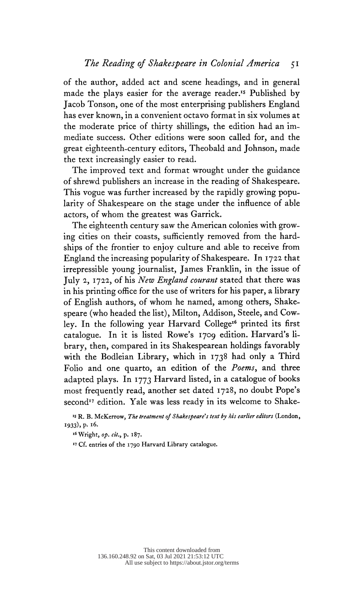of the author, added act and scene headings, and in general made the plays easier for the average reader.<sup>15</sup> Published by Jacob Tonson, one of the most enterprising publishers England has ever known, in a convenient octavo format in six volumes at the moderate price of thirty shillings, the edition had an im mediate success. Other editions were soon called for, and the great eighteenth-century editors, Theobald and Johnson, made the text increasingly easier to read.

 The improved text and format wrought under the guidance of shrewd publishers an increase in the reading of Shakespeare. This vogue was further increased by the rapidly growing popu larity of Shakespeare on the stage under the influence of able actors, of whom the greatest was Garrick.

 The eighteenth century saw the American colonies with grow ing cities on their coasts, sufficiently removed from the hard ships of the frontier to enjoy culture and able to receive from England the increasing popularity of Shakespeare. In 1722 that irrepressible young journalist, James Franklin, in the issue of July 2, 1722, of his New England courant stated that there was in his printing office for the use of writers for his paper, a library of English authors, of whom he named, among others, Shake speare (who headed the list), Milton, Addison, Steele, and Cow ley. In the following year Harvard College<sup>16</sup> printed its first catalogue. In it is listed Rowe's 1709 edition. Harvard's li brary, then, compared in its Shakespearean holdings favorably with the Bodleian Library, which in 1738 had only a Third Folio and one quarto, an edition of the Poems, and three adapted plays. In 1773 Harvard listed, in a catalogue of books most frequently read, another set dated 1728, no doubt Pope's second<sup>17</sup> edition. Yale was less ready in its welcome to Shake-

<sup>15</sup> R. B. McKerrow, The treatment of Shakespeare's text by his earlier editors (London, 1933), p. 16.

16 Wright, op. cit., p. 187.

17 Cf. entries of the 1790 Harvard Library catalogue.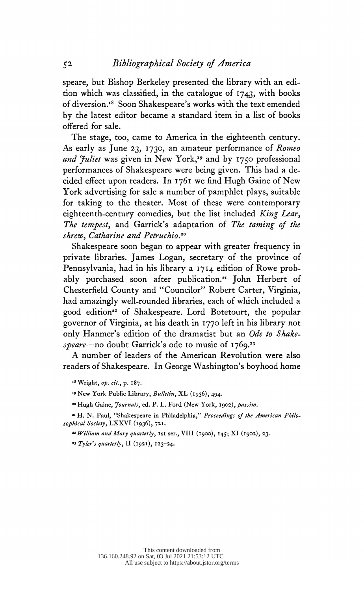speare, but Bishop Berkeley presented the library with an edi tion which was classified, in the catalogue of 1743, with books of diversion.18 Soon Shakespeare's works with the text emended by the latest editor became a standard item in a list of books offered for sale.

 The stage, too, came to America in the eighteenth century. As early as June 23, 1730, an amateur performance of Romeo and Juliet was given in New York,<sup>19</sup> and by 1750 professional performances of Shakespeare were being given. This had a de cided effect upon readers. In 1761 we find Hugh Gaine of New York advertising for sale a number of pamphlet plays, suitable for taking to the theater. Most of these were contemporary eighteenth-century comedies, but the list included King Lear, The tempest, and Garrick's adaptation of The taming of the shrew, Catharine and Petruchio.<sup>20</sup>

 Shakespeare soon began to appear with greater frequency in private libraries. James Logan, secretary of the province of Pennsylvania, had in his library a 1714 edition of Rowe prob ably purchased soon after publication.<sup>21</sup> John Herbert of Chesterfield County and "Councilor" Robert Carter, Virginia, had amazingly well-rounded libraries, each of which included a good edition" of Shakespeare. Lord Botetourt, the popular governor of Virginia, at his death in 1770 left in his library not only Hanmer's edition of the dramatist but an Ode to Shakespeare—no doubt Garrick's ode to music of 1769.<sup>23</sup>

 A number of leaders of the American Revolution were also readers of Shakespeare. In George Washington's boyhood home

18 Wright, op. cit., p. 187.

<sup>19</sup> New York Public Library, Bulletin, XL (1936), 494.

<sup>20</sup> Hugh Gaine, Journals, ed. P. L. Ford (New York, 1902), passim.

<sup>21</sup> H. N. Paul, "Shakespeare in Philadelphia," Proceedings of the American Philosophical Society, LXXVI (1936), 721.

 $22$  William and Mary quarterly, 1st ser., VIII (1900), 145; XI (1902), 23.

'3 Tyler's quarterly, II (1921), 123-24.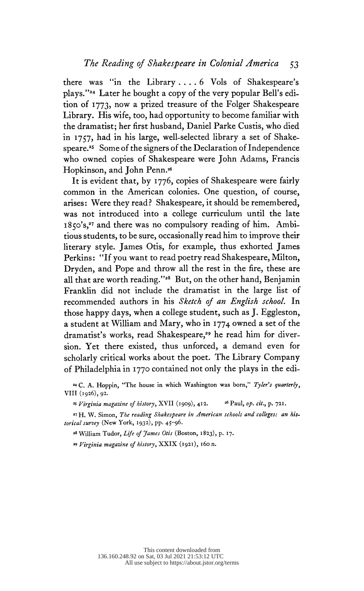there was "in the Library .... 6 Vols of Shakespeare's plays."24 Later he bought a copy of the very popular Bell's edi tion of 1773, now a prized treasure of the Folger Shakespeare Library. His wife, too, had opportunity to become familiar with the dramatist; her first husband, Daniel Parke Custis, who died in 1757, had in his large, well-selected library a set of Shake speare.<sup>25</sup> Some of the signers of the Declaration of Independence who owned copies of Shakespeare were John Adams, Francis Hopkinson, and John Penn.26

 It is evident that, by 1776, copies of Shakespeare were fairly common in the American colonies. One question, of course, arises: Were they read? Shakespeare, it should be remembered, was not introduced into a college curriculum until the late 1850's,<sup>27</sup> and there was no compulsory reading of him. Ambi tious students, to be sure, occasionally read him to improve their literary style. James Otis, for example, thus exhorted James Perkins: "If you want to read poetry read Shakespeare, Milton, Dryden, and Pope and throw all the rest in the fire, these are all that are worth reading."28 But, on the other hand, Benjamin Franklin did not include the dramatist in the large list of recommended authors in his Sketch of an English school. In those happy days, when a college student, such as J. Eggleston, a student at William and Mary, who in 1774 owned a set of the dramatist's works, read Shakespeare,<sup>29</sup> he read him for diver sion. Yet there existed, thus unforced, a demand even for scholarly critical works about the poet. The Library Company of Philadelphia in 1770 contained not only the plays in the edi

24 C. A. Hoppin, "The house in which Washington was born," Tyler's quarterly, VIII (1926), 92.

<sup>25</sup> Virginia magazine of history, XVII (1909), 412. <sup>26</sup> Paul, op. cit., p. 721.

<sup>27</sup> H. W. Simon, The reading Shakespeare in American schools and colleges: an historical survey (New York, 1932), pp. 45-96.

<sup>28</sup> William Tudor, Life of James Otis (Boston, 1823), p. 17.

39 Virginia magazine of history, XXIX (1921), 160 n.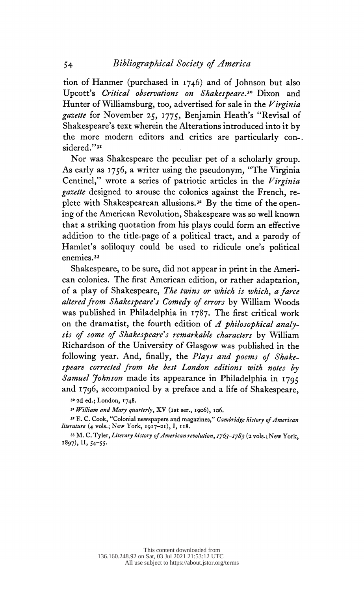tion of Hanmer (purchased in 1746) and of Johnson but also Upcott's Critical observations on Shakespeare.30 Dixon and Hunter of Williamsburg, too, advertised for sale in the Virginia gazette for November 25, 1775, Benjamin Heath's "Revisal of Shakespeare's text wherein the Alterations introduced into it by the more modern editors and critics are particularly con-. sidered."<sup>31</sup>

 Nor was Shakespeare the peculiar pet of a scholarly group. As early as 1756, a writer using the pseudonym, "The Virginia Centinel," wrote a series of patriotic articles in the Virginia gazette designed to arouse the colonies against the French, replete with Shakespearean allusions.<sup>32</sup> By the time of the open ing of the American Revolution, Shakespeare was so well known that a striking quotation from his plays could form an effective addition to the title-page of a political tract, and a parody of Hamlet's soliloquy could be used to ridicule one's political enemies.<sup>33</sup>

 Shakespeare, to be sure, did not appear in print in the Ameri can colonies. The first American edition, or rather adaptation, of a play of Shakespeare, The twins or which is which, a farce altered from Shakespeare's Comedy of errors by William Woods was published in Philadelphia in 1787. The first critical work on the dramatist, the fourth edition of  $\Lambda$  philosophical analysis of some of Shakespeare's remarkable characters by William Richardson of the University of Glasgow was published in the following year. And, finally, the Plays and poems of Shake speare corrected from the best London editions with notes by Samuel Johnson made its appearance in Philadelphia in 1795 and 1796, accompanied by a preface and a life of Shakespeare,

<sup>31</sup> William and Mary quarterly, XV (1st ser., 1906), 106.

32 E. C. Cook, "Colonial newspapers and magazines," Cambridge history of American literature (4 vols.; New York, 1917-21), I, 118.

33 M. C. Tyler, Literary history of American revolution, 1763-1783 (2 vols.; New York, 1897), II, 54-55.

 <sup>30 2</sup>d ed.; London, 1748.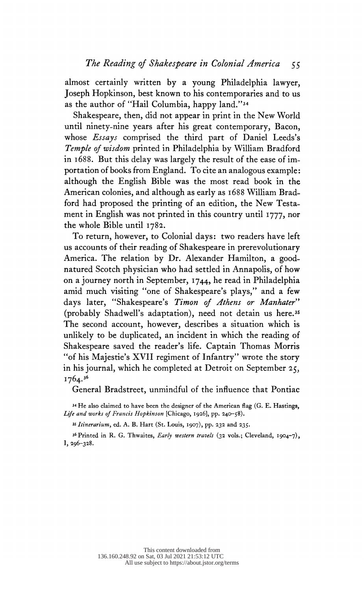almost certainly written by a young Philadelphia lawyer, Joseph Hopkinson, best known to his contemporaries and to us as the author of "Hail Columbia, happy land."34

 Shakespeare, then, did not appear in print in the New World until ninety-nine years after his great contemporary, Bacon, whose Essays comprised the third part of Daniel Leeds's Temple of wisdom printed in Philadelphia by William Bradford in 1688. But this delay was largely the result of the ease of im portation of books from England. To cite an analogous example: although the English Bible was the most read book in the American colonies, and although as early as 1688 William Brad ford had proposed the printing of an edition, the New Testa ment in English was not printed in this country until 1777, nor the whole Bible until 178a.

 To return, however, to Colonial days: two readers have left us accounts of their reading of Shakespeare in prerevolutionary America. The relation by Dr. Alexander Hamilton, a good natured Scotch physician who had settled in Annapolis, of how on a journey north in September, 1744, he read in Philadelphia amid much visiting "one of Shakespeare's plays," and a few days later, "Shakespeare's Timon of Athens or Manhater" (probably Shadwell's adaptation), need not detain us here.35 The second account, however, describes a situation which is unlikely to be duplicated, an incident in which the reading of Shakespeare saved the reader's life. Captain Thomas Morris "of his Majestie's XVII regiment of Infantry" wrote the story in his journal, which he completed at Detroit on September  $25$ , 1764.36

General Bradstreet, unmindful of the influence that Pontiac

 34 He also claimed to have been the designer of the American flag (G. E. Hastings, Life and works of Francis Hopkinson [Chicago, 1926], pp. 240-58).

35 Itinerarium, ed. A. B. Hart (St. Louis, 1907), pp. 232 and 235.

<sup>36</sup> Printed in R. G. Thwaites, *Early western travels* (32 vols.; Cleveland, 1904-7), I, 296-328.